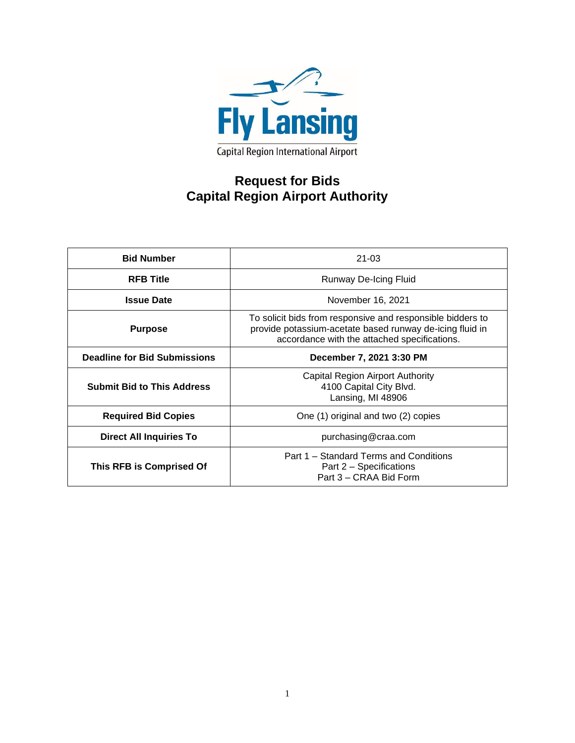

# **Request for Bids Capital Region Airport Authority**

| <b>Bid Number</b>                   | $21 - 03$                                                                                                                                                              |  |  |
|-------------------------------------|------------------------------------------------------------------------------------------------------------------------------------------------------------------------|--|--|
| <b>RFB Title</b>                    | Runway De-Icing Fluid                                                                                                                                                  |  |  |
| <b>Issue Date</b>                   | November 16, 2021                                                                                                                                                      |  |  |
| <b>Purpose</b>                      | To solicit bids from responsive and responsible bidders to<br>provide potassium-acetate based runway de-icing fluid in<br>accordance with the attached specifications. |  |  |
| <b>Deadline for Bid Submissions</b> | December 7, 2021 3:30 PM                                                                                                                                               |  |  |
| <b>Submit Bid to This Address</b>   | Capital Region Airport Authority<br>4100 Capital City Blvd.<br>Lansing, MI 48906                                                                                       |  |  |
| <b>Required Bid Copies</b>          | One (1) original and two (2) copies                                                                                                                                    |  |  |
| <b>Direct All Inquiries To</b>      | purchasing@craa.com                                                                                                                                                    |  |  |
| This RFB is Comprised Of            | Part 1 – Standard Terms and Conditions<br>Part 2 – Specifications<br>Part 3 – CRAA Bid Form                                                                            |  |  |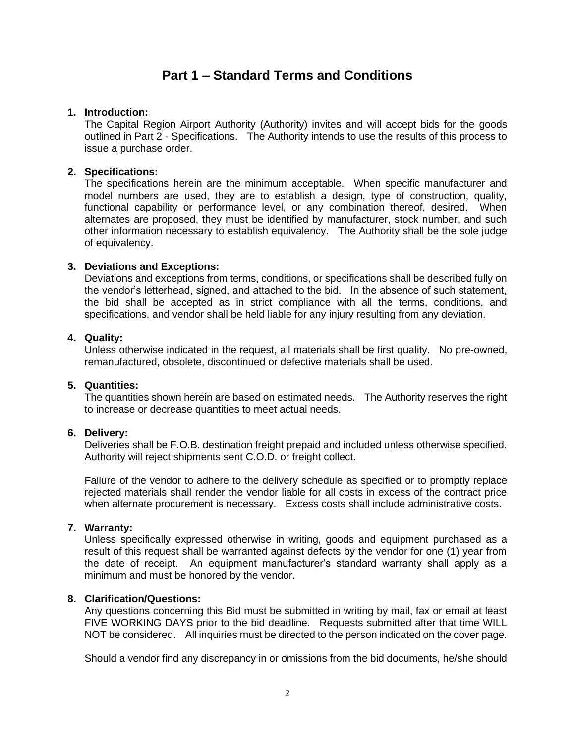## **Part 1 – Standard Terms and Conditions**

## **1. Introduction:**

The Capital Region Airport Authority (Authority) invites and will accept bids for the goods outlined in Part 2 - Specifications. The Authority intends to use the results of this process to issue a purchase order.

## **2. Specifications:**

The specifications herein are the minimum acceptable. When specific manufacturer and model numbers are used, they are to establish a design, type of construction, quality, functional capability or performance level, or any combination thereof, desired. When alternates are proposed, they must be identified by manufacturer, stock number, and such other information necessary to establish equivalency. The Authority shall be the sole judge of equivalency.

## **3. Deviations and Exceptions:**

Deviations and exceptions from terms, conditions, or specifications shall be described fully on the vendor's letterhead, signed, and attached to the bid. In the absence of such statement, the bid shall be accepted as in strict compliance with all the terms, conditions, and specifications, and vendor shall be held liable for any injury resulting from any deviation.

## **4. Quality:**

Unless otherwise indicated in the request, all materials shall be first quality. No pre-owned, remanufactured, obsolete, discontinued or defective materials shall be used.

#### **5. Quantities:**

The quantities shown herein are based on estimated needs. The Authority reserves the right to increase or decrease quantities to meet actual needs.

## **6. Delivery:**

Deliveries shall be F.O.B. destination freight prepaid and included unless otherwise specified. Authority will reject shipments sent C.O.D. or freight collect.

Failure of the vendor to adhere to the delivery schedule as specified or to promptly replace rejected materials shall render the vendor liable for all costs in excess of the contract price when alternate procurement is necessary. Excess costs shall include administrative costs.

#### **7. Warranty:**

Unless specifically expressed otherwise in writing, goods and equipment purchased as a result of this request shall be warranted against defects by the vendor for one (1) year from the date of receipt. An equipment manufacturer's standard warranty shall apply as a minimum and must be honored by the vendor.

## **8. Clarification/Questions:**

Any questions concerning this Bid must be submitted in writing by mail, fax or email at least FIVE WORKING DAYS prior to the bid deadline. Requests submitted after that time WILL NOT be considered. All inquiries must be directed to the person indicated on the cover page.

Should a vendor find any discrepancy in or omissions from the bid documents, he/she should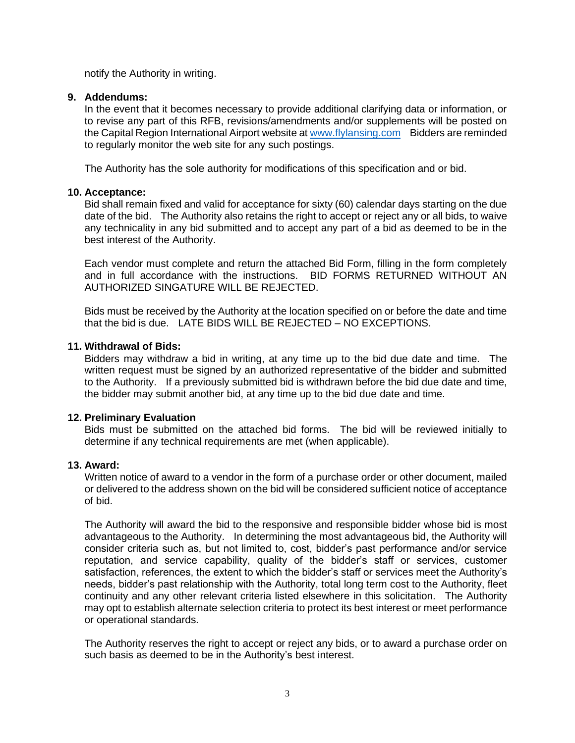notify the Authority in writing.

## **9. Addendums:**

In the event that it becomes necessary to provide additional clarifying data or information, or to revise any part of this RFB, revisions/amendments and/or supplements will be posted on the Capital Region International Airport website at [www.flylansing.com](http://www.flylansing.com/) Bidders are reminded to regularly monitor the web site for any such postings.

The Authority has the sole authority for modifications of this specification and or bid.

## **10. Acceptance:**

Bid shall remain fixed and valid for acceptance for sixty (60) calendar days starting on the due date of the bid. The Authority also retains the right to accept or reject any or all bids, to waive any technicality in any bid submitted and to accept any part of a bid as deemed to be in the best interest of the Authority.

Each vendor must complete and return the attached Bid Form, filling in the form completely and in full accordance with the instructions. BID FORMS RETURNED WITHOUT AN AUTHORIZED SINGATURE WILL BE REJECTED.

Bids must be received by the Authority at the location specified on or before the date and time that the bid is due. LATE BIDS WILL BE REJECTED – NO EXCEPTIONS.

## **11. Withdrawal of Bids:**

Bidders may withdraw a bid in writing, at any time up to the bid due date and time. The written request must be signed by an authorized representative of the bidder and submitted to the Authority. If a previously submitted bid is withdrawn before the bid due date and time, the bidder may submit another bid, at any time up to the bid due date and time.

## **12. Preliminary Evaluation**

Bids must be submitted on the attached bid forms. The bid will be reviewed initially to determine if any technical requirements are met (when applicable).

## **13. Award:**

Written notice of award to a vendor in the form of a purchase order or other document, mailed or delivered to the address shown on the bid will be considered sufficient notice of acceptance of bid.

The Authority will award the bid to the responsive and responsible bidder whose bid is most advantageous to the Authority. In determining the most advantageous bid, the Authority will consider criteria such as, but not limited to, cost, bidder's past performance and/or service reputation, and service capability, quality of the bidder's staff or services, customer satisfaction, references, the extent to which the bidder's staff or services meet the Authority's needs, bidder's past relationship with the Authority, total long term cost to the Authority, fleet continuity and any other relevant criteria listed elsewhere in this solicitation. The Authority may opt to establish alternate selection criteria to protect its best interest or meet performance or operational standards.

The Authority reserves the right to accept or reject any bids, or to award a purchase order on such basis as deemed to be in the Authority's best interest.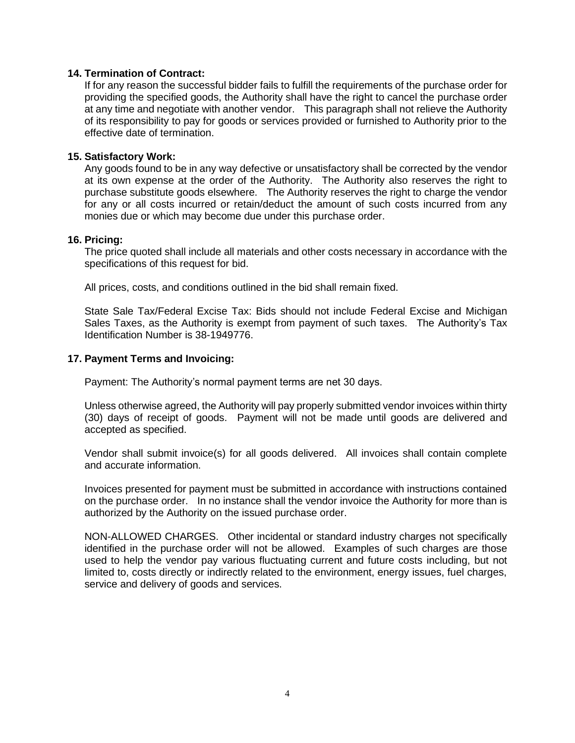## **14. Termination of Contract:**

If for any reason the successful bidder fails to fulfill the requirements of the purchase order for providing the specified goods, the Authority shall have the right to cancel the purchase order at any time and negotiate with another vendor. This paragraph shall not relieve the Authority of its responsibility to pay for goods or services provided or furnished to Authority prior to the effective date of termination.

#### **15. Satisfactory Work:**

Any goods found to be in any way defective or unsatisfactory shall be corrected by the vendor at its own expense at the order of the Authority. The Authority also reserves the right to purchase substitute goods elsewhere. The Authority reserves the right to charge the vendor for any or all costs incurred or retain/deduct the amount of such costs incurred from any monies due or which may become due under this purchase order.

#### **16. Pricing:**

The price quoted shall include all materials and other costs necessary in accordance with the specifications of this request for bid.

All prices, costs, and conditions outlined in the bid shall remain fixed.

State Sale Tax/Federal Excise Tax: Bids should not include Federal Excise and Michigan Sales Taxes, as the Authority is exempt from payment of such taxes. The Authority's Tax Identification Number is 38-1949776.

## **17. Payment Terms and Invoicing:**

Payment: The Authority's normal payment terms are net 30 days.

Unless otherwise agreed, the Authority will pay properly submitted vendor invoices within thirty (30) days of receipt of goods. Payment will not be made until goods are delivered and accepted as specified.

Vendor shall submit invoice(s) for all goods delivered. All invoices shall contain complete and accurate information.

Invoices presented for payment must be submitted in accordance with instructions contained on the purchase order. In no instance shall the vendor invoice the Authority for more than is authorized by the Authority on the issued purchase order.

NON-ALLOWED CHARGES. Other incidental or standard industry charges not specifically identified in the purchase order will not be allowed. Examples of such charges are those used to help the vendor pay various fluctuating current and future costs including, but not limited to, costs directly or indirectly related to the environment, energy issues, fuel charges, service and delivery of goods and services.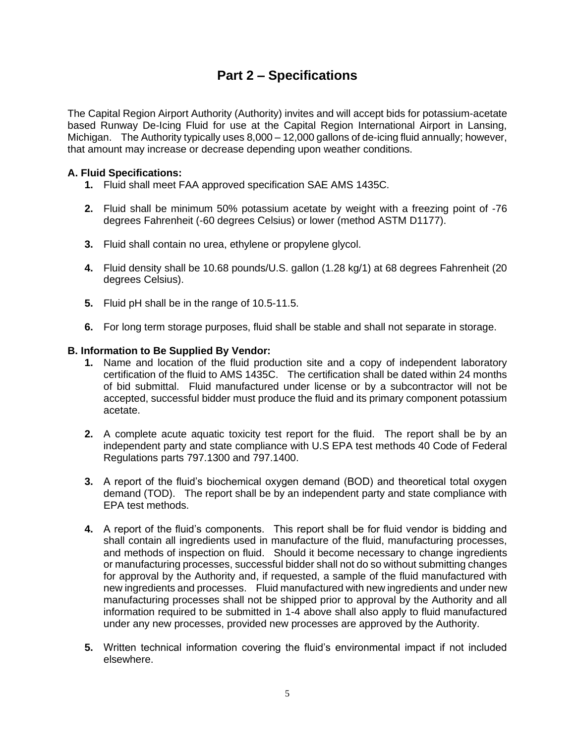## **Part 2 – Specifications**

The Capital Region Airport Authority (Authority) invites and will accept bids for potassium-acetate based Runway De-Icing Fluid for use at the Capital Region International Airport in Lansing, Michigan. The Authority typically uses 8,000 – 12,000 gallons of de-icing fluid annually; however, that amount may increase or decrease depending upon weather conditions.

## **A. Fluid Specifications:**

- **1.** Fluid shall meet FAA approved specification SAE AMS 1435C.
- **2.** Fluid shall be minimum 50% potassium acetate by weight with a freezing point of -76 degrees Fahrenheit (-60 degrees Celsius) or lower (method ASTM D1177).
- **3.** Fluid shall contain no urea, ethylene or propylene glycol.
- **4.** Fluid density shall be 10.68 pounds/U.S. gallon (1.28 kg/1) at 68 degrees Fahrenheit (20 degrees Celsius).
- **5.** Fluid pH shall be in the range of 10.5-11.5.
- **6.** For long term storage purposes, fluid shall be stable and shall not separate in storage.

#### **B. Information to Be Supplied By Vendor:**

- **1.** Name and location of the fluid production site and a copy of independent laboratory certification of the fluid to AMS 1435C. The certification shall be dated within 24 months of bid submittal. Fluid manufactured under license or by a subcontractor will not be accepted, successful bidder must produce the fluid and its primary component potassium acetate.
- **2.** A complete acute aquatic toxicity test report for the fluid. The report shall be by an independent party and state compliance with U.S EPA test methods 40 Code of Federal Regulations parts 797.1300 and 797.1400.
- **3.** A report of the fluid's biochemical oxygen demand (BOD) and theoretical total oxygen demand (TOD). The report shall be by an independent party and state compliance with EPA test methods.
- **4.** A report of the fluid's components. This report shall be for fluid vendor is bidding and shall contain all ingredients used in manufacture of the fluid, manufacturing processes, and methods of inspection on fluid. Should it become necessary to change ingredients or manufacturing processes, successful bidder shall not do so without submitting changes for approval by the Authority and, if requested, a sample of the fluid manufactured with new ingredients and processes. Fluid manufactured with new ingredients and under new manufacturing processes shall not be shipped prior to approval by the Authority and all information required to be submitted in 1-4 above shall also apply to fluid manufactured under any new processes, provided new processes are approved by the Authority.
- **5.** Written technical information covering the fluid's environmental impact if not included elsewhere.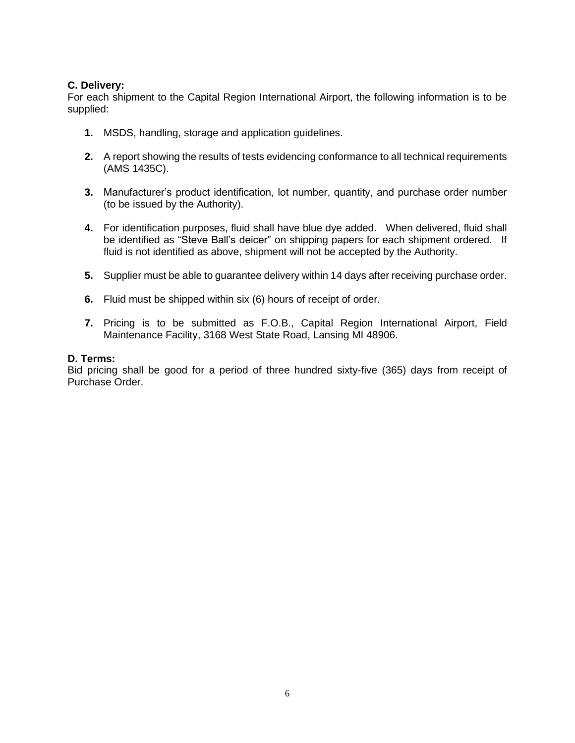## **C. Delivery:**

For each shipment to the Capital Region International Airport, the following information is to be supplied:

- **1.** MSDS, handling, storage and application guidelines.
- **2.** A report showing the results of tests evidencing conformance to all technical requirements (AMS 1435C).
- **3.** Manufacturer's product identification, lot number, quantity, and purchase order number (to be issued by the Authority).
- **4.** For identification purposes, fluid shall have blue dye added. When delivered, fluid shall be identified as "Steve Ball's deicer" on shipping papers for each shipment ordered. If fluid is not identified as above, shipment will not be accepted by the Authority.
- **5.** Supplier must be able to guarantee delivery within 14 days after receiving purchase order.
- **6.** Fluid must be shipped within six (6) hours of receipt of order.
- **7.** Pricing is to be submitted as F.O.B., Capital Region International Airport, Field Maintenance Facility, 3168 West State Road, Lansing MI 48906.

#### **D. Terms:**

Bid pricing shall be good for a period of three hundred sixty-five (365) days from receipt of Purchase Order.